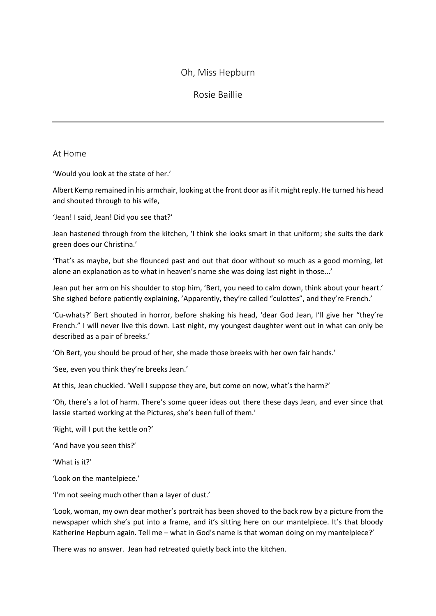# Oh, Miss Hepburn

## Rosie Baillie

### At Home

'Would you look at the state of her.'

Albert Kemp remained in his armchair, looking at the front door as if it might reply. He turned his head and shouted through to his wife,

'Jean! I said, Jean! Did you see that?'

Jean hastened through from the kitchen, 'I think she looks smart in that uniform; she suits the dark green does our Christina.'

'That's as maybe, but she flounced past and out that door without so much as a good morning, let alone an explanation as to what in heaven's name she was doing last night in those...'

Jean put her arm on his shoulder to stop him, 'Bert, you need to calm down, think about your heart.' She sighed before patiently explaining, 'Apparently, they're called "culottes", and they're French.'

'Cu-whats?' Bert shouted in horror, before shaking his head, 'dear God Jean, I'll give her "they're French." I will never live this down. Last night, my youngest daughter went out in what can only be described as a pair of breeks.'

'Oh Bert, you should be proud of her, she made those breeks with her own fair hands.'

'See, even you think they're breeks Jean.'

At this, Jean chuckled. 'Well I suppose they are, but come on now, what's the harm?'

'Oh, there's a lot of harm. There's some queer ideas out there these days Jean, and ever since that lassie started working at the Pictures, she's been full of them.'

'Right, will I put the kettle on?'

'And have you seen this?'

'What is it?'

'Look on the mantelpiece.'

'I'm not seeing much other than a layer of dust.'

'Look, woman, my own dear mother's portrait has been shoved to the back row by a picture from the newspaper which she's put into a frame, and it's sitting here on our mantelpiece. It's that bloody Katherine Hepburn again. Tell me – what in God's name is that woman doing on my mantelpiece?'

There was no answer. Jean had retreated quietly back into the kitchen.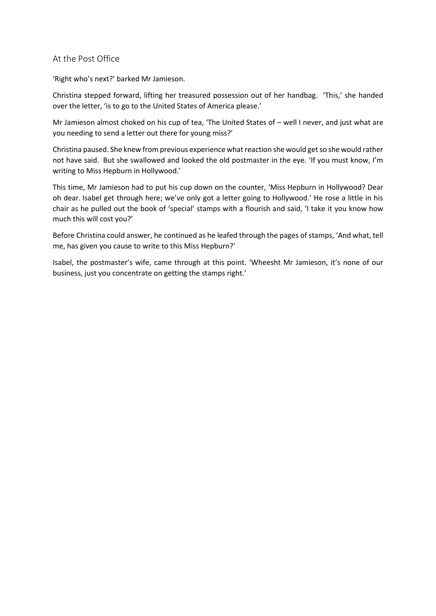### At the Post Office

'Right who's next?' barked Mr Jamieson.

Christina stepped forward, lifting her treasured possession out of her handbag. 'This,' she handed over the letter, 'is to go to the United States of America please.'

Mr Jamieson almost choked on his cup of tea, 'The United States of – well I never, and just what are you needing to send a letter out there for young miss?'

Christina paused. She knew from previous experience what reaction she would get so she would rather not have said. But she swallowed and looked the old postmaster in the eye. 'If you must know, I'm writing to Miss Hepburn in Hollywood.'

This time, Mr Jamieson had to put his cup down on the counter, 'Miss Hepburn in Hollywood? Dear oh dear. Isabel get through here; we've only got a letter going to Hollywood.' He rose a little in his chair as he pulled out the book of 'special' stamps with a flourish and said, 'I take it you know how much this will cost you?'

Before Christina could answer, he continued as he leafed through the pages of stamps, 'And what, tell me, has given you cause to write to this Miss Hepburn?'

Isabel, the postmaster's wife, came through at this point. 'Wheesht Mr Jamieson, it's none of our business, just you concentrate on getting the stamps right.'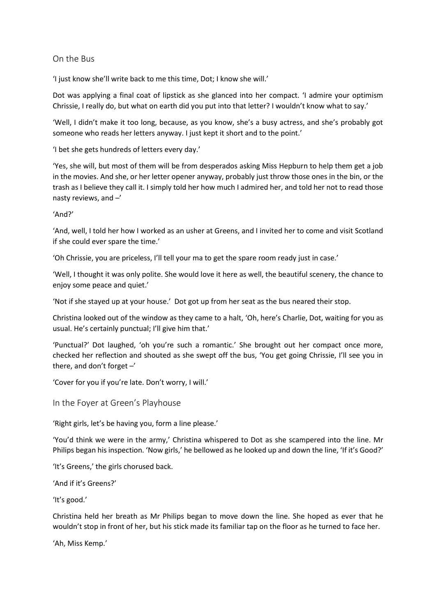### On the Bus

'I just know she'll write back to me this time, Dot; I know she will.'

Dot was applying a final coat of lipstick as she glanced into her compact. 'I admire your optimism Chrissie, I really do, but what on earth did you put into that letter? I wouldn't know what to say.'

'Well, I didn't make it too long, because, as you know, she's a busy actress, and she's probably got someone who reads her letters anyway. I just kept it short and to the point.'

'I bet she gets hundreds of letters every day.'

'Yes, she will, but most of them will be from desperados asking Miss Hepburn to help them get a job in the movies. And she, or her letter opener anyway, probably just throw those ones in the bin, or the trash as I believe they call it. I simply told her how much I admired her, and told her not to read those nasty reviews, and –'

'And?'

'And, well, I told her how I worked as an usher at Greens, and I invited her to come and visit Scotland if she could ever spare the time.'

'Oh Chrissie, you are priceless, I'll tell your ma to get the spare room ready just in case.'

'Well, I thought it was only polite. She would love it here as well, the beautiful scenery, the chance to enjoy some peace and quiet.'

'Not if she stayed up at your house.' Dot got up from her seat as the bus neared their stop.

Christina looked out of the window as they came to a halt, 'Oh, here's Charlie, Dot, waiting for you as usual. He's certainly punctual; I'll give him that.'

'Punctual?' Dot laughed, 'oh you're such a romantic.' She brought out her compact once more, checked her reflection and shouted as she swept off the bus, 'You get going Chrissie, I'll see you in there, and don't forget  $-$ '

'Cover for you if you're late. Don't worry, I will.'

In the Foyer at Green's Playhouse

'Right girls, let's be having you, form a line please.'

'You'd think we were in the army,' Christina whispered to Dot as she scampered into the line. Mr Philips began his inspection. 'Now girls,' he bellowed as he looked up and down the line, 'If it's Good?'

'It's Greens,' the girls chorused back.

'And if it's Greens?'

'It's good.'

Christina held her breath as Mr Philips began to move down the line. She hoped as ever that he wouldn't stop in front of her, but his stick made its familiar tap on the floor as he turned to face her.

'Ah, Miss Kemp.'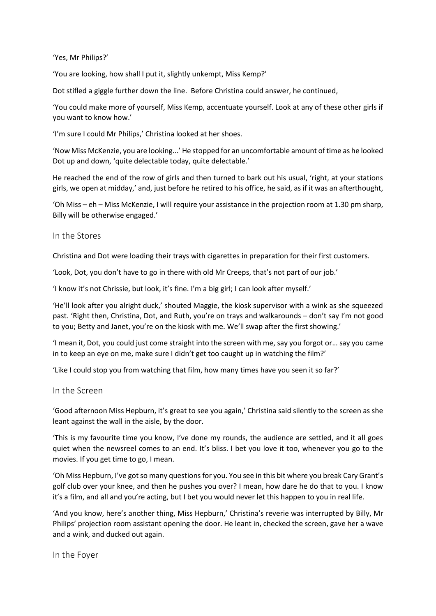#### 'Yes, Mr Philips?'

'You are looking, how shall I put it, slightly unkempt, Miss Kemp?'

Dot stifled a giggle further down the line. Before Christina could answer, he continued,

'You could make more of yourself, Miss Kemp, accentuate yourself. Look at any of these other girls if you want to know how.'

'I'm sure I could Mr Philips,' Christina looked at her shoes.

'Now Miss McKenzie, you are looking...' He stopped for an uncomfortable amount of time as he looked Dot up and down, 'quite delectable today, quite delectable.'

He reached the end of the row of girls and then turned to bark out his usual, 'right, at your stations girls, we open at midday,' and, just before he retired to his office, he said, as if it was an afterthought,

'Oh Miss – eh – Miss McKenzie, I will require your assistance in the projection room at 1.30 pm sharp, Billy will be otherwise engaged.'

In the Stores

Christina and Dot were loading their trays with cigarettes in preparation for their first customers.

'Look, Dot, you don't have to go in there with old Mr Creeps, that's not part of our job.'

'I know it's not Chrissie, but look, it's fine. I'm a big girl; I can look after myself.'

'He'll look after you alright duck,' shouted Maggie, the kiosk supervisor with a wink as she squeezed past. 'Right then, Christina, Dot, and Ruth, you're on trays and walkarounds – don't say I'm not good to you; Betty and Janet, you're on the kiosk with me. We'll swap after the first showing.'

'I mean it, Dot, you could just come straight into the screen with me, say you forgot or… say you came in to keep an eye on me, make sure I didn't get too caught up in watching the film?'

'Like I could stop you from watching that film, how many times have you seen it so far?'

In the Screen

'Good afternoon Miss Hepburn, it's great to see you again,' Christina said silently to the screen as she leant against the wall in the aisle, by the door.

'This is my favourite time you know, I've done my rounds, the audience are settled, and it all goes quiet when the newsreel comes to an end. It's bliss. I bet you love it too, whenever you go to the movies. If you get time to go, I mean.

'Oh Miss Hepburn, I've got so many questions for you. You see in this bit where you break Cary Grant's golf club over your knee, and then he pushes you over? I mean, how dare he do that to you. I know it's a film, and all and you're acting, but I bet you would never let this happen to you in real life.

'And you know, here's another thing, Miss Hepburn,' Christina's reverie was interrupted by Billy, Mr Philips' projection room assistant opening the door. He leant in, checked the screen, gave her a wave and a wink, and ducked out again.

In the Foyer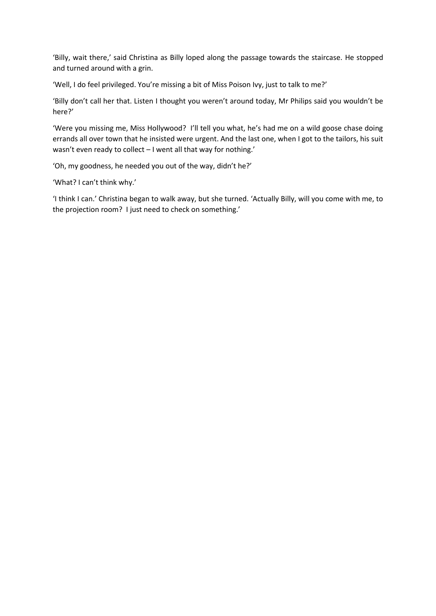'Billy, wait there,' said Christina as Billy loped along the passage towards the staircase. He stopped and turned around with a grin.

'Well, I do feel privileged. You're missing a bit of Miss Poison Ivy, just to talk to me?'

'Billy don't call her that. Listen I thought you weren't around today, Mr Philips said you wouldn't be here?'

'Were you missing me, Miss Hollywood? I'll tell you what, he's had me on a wild goose chase doing errands all over town that he insisted were urgent. And the last one, when I got to the tailors, his suit wasn't even ready to collect – I went all that way for nothing.'

'Oh, my goodness, he needed you out of the way, didn't he?'

'What? I can't think why.'

'I think I can.' Christina began to walk away, but she turned. 'Actually Billy, will you come with me, to the projection room? I just need to check on something.'